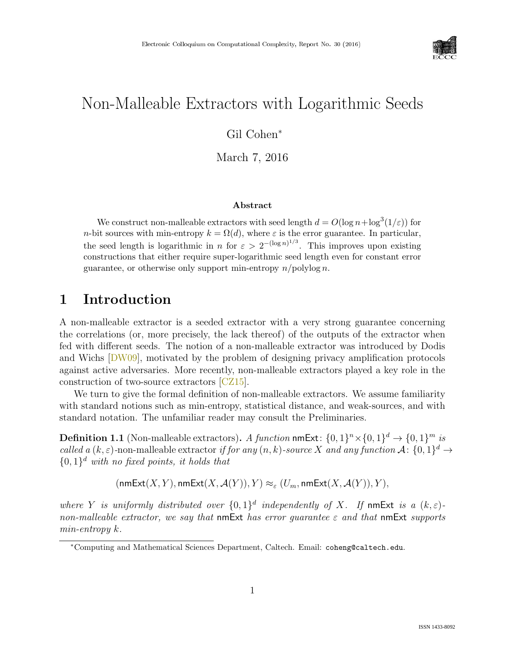

# Non-Malleable Extractors with Logarithmic Seeds

### Gil Cohen<sup>∗</sup>

March 7, 2016

#### Abstract

We construct non-malleable extractors with seed length  $d = O(\log n + \log^3(1/\varepsilon))$  for n-bit sources with min-entropy  $k = \Omega(d)$ , where  $\varepsilon$  is the error guarantee. In particular, the seed length is logarithmic in n for  $\varepsilon > 2^{-(\log n)^{1/3}}$ . This improves upon existing constructions that either require super-logarithmic seed length even for constant error guarantee, or otherwise only support min-entropy  $n$ /polylog n.

## 1 Introduction

A non-malleable extractor is a seeded extractor with a very strong guarantee concerning the correlations (or, more precisely, the lack thereof) of the outputs of the extractor when fed with different seeds. The notion of a non-malleable extractor was introduced by Dodis and Wichs [\[DW09\]](#page--1-0), motivated by the problem of designing privacy amplification protocols against active adversaries. More recently, non-malleable extractors played a key role in the construction of two-source extractors [\[CZ15\]](#page--1-1).

We turn to give the formal definition of non-malleable extractors. We assume familiarity with standard notions such as min-entropy, statistical distance, and weak-sources, and with standard notation. The unfamiliar reader may consult the Preliminaries.

**Definition 1.1** (Non-malleable extractors). A function  $\mathsf{nmExt}\colon \{0,1\}^n \times \{0,1\}^d \to \{0,1\}^m$  is called a  $(k, \varepsilon)$ -non-malleable extractor if for any  $(n, k)$ -source X and any function  $\mathcal{A}$ :  $\{0, 1\}^d \to$  ${0,1}<sup>d</sup>$  with no fixed points, it holds that

$$
(\mathsf{nmExt}(X,Y),\mathsf{nmExt}(X,\mathcal{A}(Y)),Y)\approx_{\varepsilon} (U_m,\mathsf{nmExt}(X,\mathcal{A}(Y)),Y),
$$

where Y is uniformly distributed over  $\{0,1\}^d$  independently of X. If nmExt is a  $(k,\varepsilon)$ non-malleable extractor, we say that nmExt has error quarantee  $\varepsilon$  and that nmExt supports min-entropy k.

<sup>∗</sup>Computing and Mathematical Sciences Department, Caltech. Email: coheng@caltech.edu.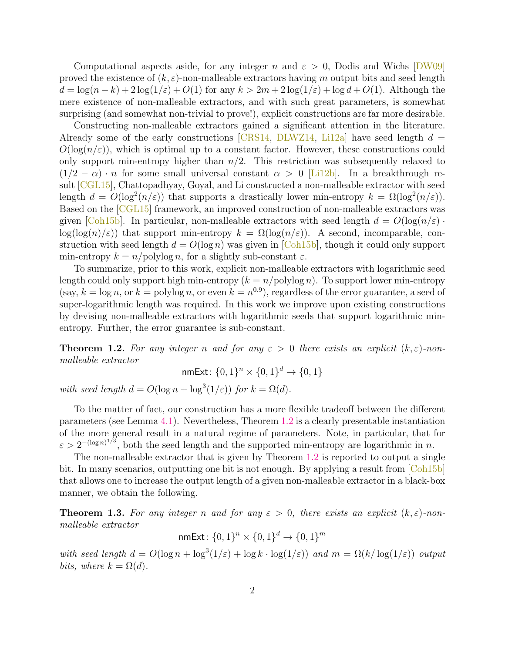Computational aspects aside, for any integer n and  $\varepsilon > 0$ , Dodis and Wichs [\[DW09\]](#page--1-0) proved the existence of  $(k, \varepsilon)$ -non-malleable extractors having m output bits and seed length  $d = \log(n-k) + 2\log(1/\varepsilon) + O(1)$  for any  $k > 2m + 2\log(1/\varepsilon) + \log d + O(1)$ . Although the mere existence of non-malleable extractors, and with such great parameters, is somewhat surprising (and somewhat non-trivial to prove!), explicit constructions are far more desirable.

Constructing non-malleable extractors gained a significant attention in the literature. Already some of the early constructions  $CRS14$ ,  $DLWZ14$ ,  $Li2a$  have seed length  $d =$  $O(\log(n/\varepsilon))$ , which is optimal up to a constant factor. However, these constructions could only support min-entropy higher than  $n/2$ . This restriction was subsequently relaxed to  $(1/2 - \alpha) \cdot n$  for some small universal constant  $\alpha > 0$  [\[Li12b\]](#page--1-3). In a breakthrough result [\[CGL15\]](#page-17-2), Chattopadhyay, Goyal, and Li constructed a non-malleable extractor with seed length  $d = O(\log^2(n/\varepsilon))$  that supports a drastically lower min-entropy  $k = \Omega(\log^2(n/\varepsilon))$ . Based on the [\[CGL15\]](#page-17-2) framework, an improved construction of non-malleable extractors was given [\[Coh15b\]](#page-17-3). In particular, non-malleable extractors with seed length  $d = O(\log(n/\varepsilon))$ .  $\log(\log(n)/\epsilon)$ ) that support min-entropy  $k = \Omega(\log(n/\epsilon))$ . A second, incomparable, construction with seed length  $d = O(\log n)$  was given in [\[Coh15b\]](#page-17-3), though it could only support min-entropy  $k = n/\text{polylog } n$ , for a slightly sub-constant  $\varepsilon$ .

To summarize, prior to this work, explicit non-malleable extractors with logarithmic seed length could only support high min-entropy  $(k = n/\text{polylog } n)$ . To support lower min-entropy  $(\text{say}, k = \log n, \text{ or } k = \text{polylog } n, \text{ or even } k = n^{0.9})$ , regardless of the error guarantee, a seed of super-logarithmic length was required. In this work we improve upon existing constructions by devising non-malleable extractors with logarithmic seeds that support logarithmic minentropy. Further, the error guarantee is sub-constant.

<span id="page-1-0"></span>**Theorem 1.2.** For any integer n and for any  $\varepsilon > 0$  there exists an explicit  $(k, \varepsilon)$ -nonmalleable extractor

nmExt:  $\{0,1\}^n \times \{0,1\}^d \rightarrow \{0,1\}$ 

with seed length  $d = O(\log n + \log^3(1/\varepsilon))$  for  $k = \Omega(d)$ .

To the matter of fact, our construction has a more flexible tradeoff between the different parameters (see Lemma [4.1\)](#page-11-0). Nevertheless, Theorem [1.2](#page-1-0) is a clearly presentable instantiation of the more general result in a natural regime of parameters. Note, in particular, that for  $\varepsilon > 2^{-(\log n)^{1/3}}$ , both the seed length and the supported min-entropy are logarithmic in n.

The non-malleable extractor that is given by Theorem [1.2](#page-1-0) is reported to output a single bit. In many scenarios, outputting one bit is not enough. By applying a result from [\[Coh15b\]](#page-17-3) that allows one to increase the output length of a given non-malleable extractor in a black-box manner, we obtain the following.

<span id="page-1-1"></span>**Theorem 1.3.** For any integer n and for any  $\varepsilon > 0$ , there exists an explicit  $(k, \varepsilon)$ -nonmalleable extractor

nmExt: 
$$
\{0,1\}^n \times \{0,1\}^d \rightarrow \{0,1\}^m
$$

with seed length  $d = O(\log n + \log^3(1/\varepsilon) + \log k \cdot \log(1/\varepsilon))$  and  $m = \Omega(k/\log(1/\varepsilon))$  output bits, where  $k = \Omega(d)$ .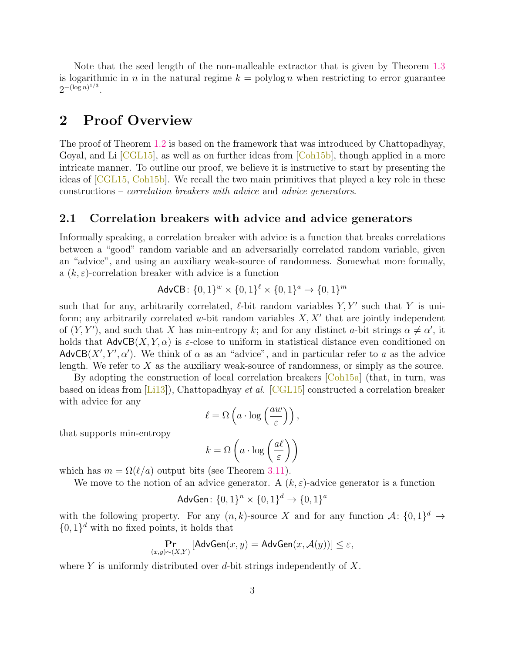Note that the seed length of the non-malleable extractor that is given by Theorem [1.3](#page-1-1) is logarithmic in n in the natural regime  $k = \text{polylog } n$  when restricting to error guarantee  $2^{-(\log n)^{1/3}}$ .

## 2 Proof Overview

The proof of Theorem [1.2](#page-1-0) is based on the framework that was introduced by Chattopadhyay, Goyal, and Li  $\lbrack \text{CGL15} \rbrack$ , as well as on further ideas from  $\lbrack \text{Coh15b} \rbrack$ , though applied in a more intricate manner. To outline our proof, we believe it is instructive to start by presenting the ideas of [\[CGL15,](#page-17-2) [Coh15b\]](#page-17-3). We recall the two main primitives that played a key role in these constructions – correlation breakers with advice and advice generators.

#### 2.1 Correlation breakers with advice and advice generators

Informally speaking, a correlation breaker with advice is a function that breaks correlations between a "good" random variable and an adversarially correlated random variable, given an "advice", and using an auxiliary weak-source of randomness. Somewhat more formally, a  $(k, \varepsilon)$ -correlation breaker with advice is a function

$$
AdvCB: \{0, 1\}^{w} \times \{0, 1\}^{\ell} \times \{0, 1\}^{a} \rightarrow \{0, 1\}^{m}
$$

such that for any, arbitrarily correlated,  $\ell$ -bit random variables  $Y, Y'$  such that Y is uniform; any arbitrarily correlated  $w$ -bit random variables  $X, X'$  that are jointly independent of  $(Y, Y')$ , and such that X has min-entropy k; and for any distinct a-bit strings  $\alpha \neq \alpha'$ , it holds that  $AdvCB(X, Y, \alpha)$  is  $\varepsilon$ -close to uniform in statistical distance even conditioned on AdvCB $(X', Y', \alpha')$ . We think of  $\alpha$  as an "advice", and in particular refer to a as the advice length. We refer to  $X$  as the auxiliary weak-source of randomness, or simply as the source.

By adopting the construction of local correlation breakers  $\lceil \text{Coh15a} \rceil$  (that, in turn, was based on ideas from [\[Li13\]](#page--1-4)), Chattopadhyay et al. [\[CGL15\]](#page-17-2) constructed a correlation breaker with advice for any

$$
\ell = \Omega\left(a \cdot \log\left(\frac{aw}{\varepsilon}\right)\right),\,
$$

that supports min-entropy

$$
k = \Omega\left(a \cdot \log\left(\frac{a\ell}{\varepsilon}\right)\right)
$$

which has  $m = \Omega(\ell/a)$  output bits (see Theorem [3.11\)](#page-10-0).

We move to the notion of an advice generator. A  $(k, \varepsilon)$ -advice generator is a function

$$
AdvGen: \{0, 1\}^n \times \{0, 1\}^d \to \{0, 1\}^a
$$

with the following property. For any  $(n, k)$ -source X and for any function  $\mathcal{A}$ :  $\{0, 1\}^d \to$  $\{0,1\}$ <sup>d</sup> with no fixed points, it holds that

$$
\Pr_{(x,y)\sim(X,Y)}\left[\mathsf{AdvGen}(x,y)=\mathsf{AdvGen}(x,\mathcal{A}(y))\right]\leq\varepsilon,
$$

where Y is uniformly distributed over d-bit strings independently of  $X$ .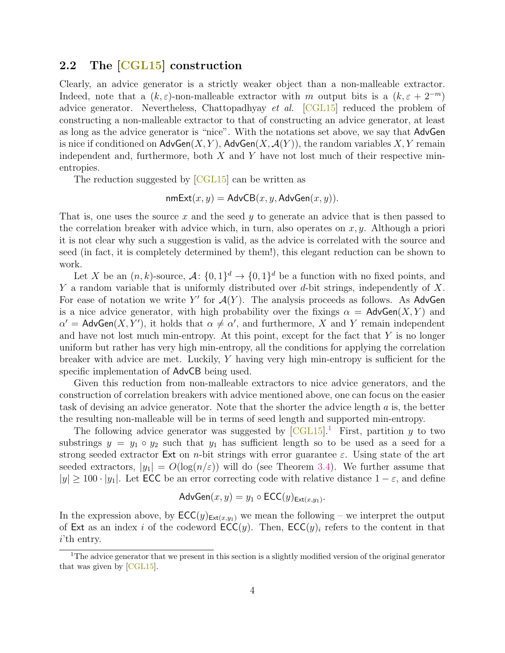### 2.2 The [\[CGL15\]](#page-17-2) construction

Clearly, an advice generator is a strictly weaker object than a non-malleable extractor. Indeed, note that a  $(k, \varepsilon)$ -non-malleable extractor with m output bits is a  $(k, \varepsilon + 2^{-m})$ advice generator. Nevertheless, Chattopadhyay et al. [\[CGL15\]](#page-17-2) reduced the problem of constructing a non-malleable extractor to that of constructing an advice generator, at least as long as the advice generator is "nice". With the notations set above, we say that AdvGen is nice if conditioned on  $\mathsf{AdvGen}(X, Y)$ ,  $\mathsf{AdvGen}(X, \mathcal{A}(Y))$ , the random variables X, Y remain independent and, furthermore, both  $X$  and  $Y$  have not lost much of their respective minentropies.

The reduction suggested by  $|CGL15|$  can be written as

$$
\mathsf{nmExt}(x, y) = \mathsf{AdvCB}(x, y, \mathsf{AdvGen}(x, y)).
$$

That is, one uses the source x and the seed y to generate an advice that is then passed to the correlation breaker with advice which, in turn, also operates on  $x, y$ . Although a priori it is not clear why such a suggestion is valid, as the advice is correlated with the source and seed (in fact, it is completely determined by them!), this elegant reduction can be shown to work.

Let X be an  $(n, k)$ -source,  $\mathcal{A}$ :  $\{0, 1\}^d \to \{0, 1\}^d$  be a function with no fixed points, and Y a random variable that is uniformly distributed over  $d$ -bit strings, independently of X. For ease of notation we write Y' for  $\mathcal{A}(Y)$ . The analysis proceeds as follows. As AdvGen is a nice advice generator, with high probability over the fixings  $\alpha = \mathsf{AdvGen}(X, Y)$  and  $\alpha' =$  AdvGen $(X, Y')$ , it holds that  $\alpha \neq \alpha'$ , and furthermore, X and Y remain independent and have not lost much min-entropy. At this point, except for the fact that  $Y$  is no longer uniform but rather has very high min-entropy, all the conditions for applying the correlation breaker with advice are met. Luckily,  $Y$  having very high min-entropy is sufficient for the specific implementation of AdvCB being used.

Given this reduction from non-malleable extractors to nice advice generators, and the construction of correlation breakers with advice mentioned above, one can focus on the easier task of devising an advice generator. Note that the shorter the advice length a is, the better the resulting non-malleable will be in terms of seed length and supported min-entropy.

The following advice generator was suggested by  $\text{[CGL15]}$  $\text{[CGL15]}$  $\text{[CGL15]}$ . First, partition y to two substrings  $y = y_1 \circ y_2$  such that  $y_1$  has sufficient length so to be used as a seed for a strong seeded extractor Ext on *n*-bit strings with error guarantee  $\varepsilon$ . Using state of the art seeded extractors,  $|y_1| = O(\log(n/\varepsilon))$  will do (see Theorem [3.4\)](#page-9-0). We further assume that  $|y| \geq 100 \cdot |y_1|$ . Let ECC be an error correcting code with relative distance  $1 - \varepsilon$ , and define

$$
AdvGen(x, y) = y_1 \circ ECC(y)_{Ext(x, y_1)}.
$$

In the expression above, by  $\mathsf{ECC}(y)_{\mathsf{Ext}(x,y_1)}$  we mean the following – we interpret the output of Ext as an index i of the codeword  $\mathsf{ECC}(y)$ . Then,  $\mathsf{ECC}(y)_i$  refers to the content in that i'th entry.

<span id="page-3-0"></span><sup>1</sup>The advice generator that we present in this section is a slightly modified version of the original generator that was given by [\[CGL15\]](#page-17-2).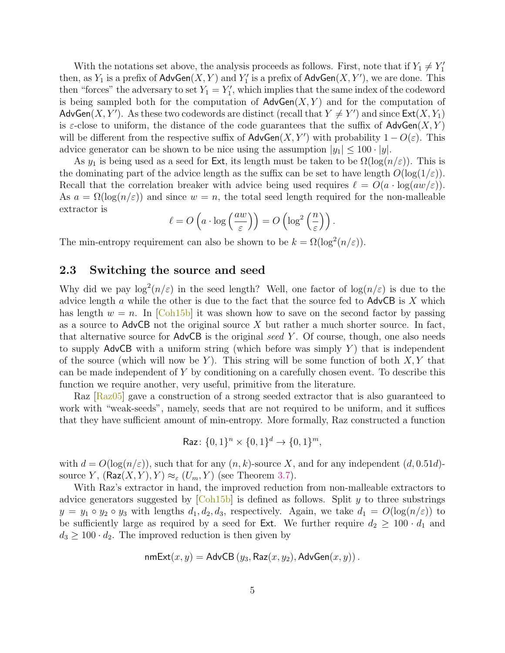With the notations set above, the analysis proceeds as follows. First, note that if  $Y_1 \neq Y_1'$ then, as  $Y_1$  is a prefix of  $\mathsf{AdvGen}(X, Y)$  and  $Y'_1$  is a prefix of  $\mathsf{AdvGen}(X, Y'),$  we are done. This then "forces" the adversary to set  $Y_1 = Y_1'$ , which implies that the same index of the codeword is being sampled both for the computation of  $\mathsf{AdvGen}(X, Y)$  and for the computation of AdvGen $(X, Y')$ . As these two codewords are distinct (recall that  $Y \neq Y'$ ) and since  $\textsf{Ext}(X, Y_1)$ is  $\varepsilon$ -close to uniform, the distance of the code guarantees that the suffix of AdvGen $(X, Y)$ will be different from the respective suffix of  $\mathsf{AdvGen}(X, Y')$  with probability  $1 - O(\varepsilon)$ . This advice generator can be shown to be nice using the assumption  $|y_1| \leq 100 \cdot |y|$ .

As  $y_1$  is being used as a seed for Ext, its length must be taken to be  $\Omega(\log(n/\varepsilon))$ . This is the dominating part of the advice length as the suffix can be set to have length  $O(\log(1/\varepsilon))$ . Recall that the correlation breaker with advice being used requires  $\ell = O(a \cdot \log(aw/\varepsilon))$ . As  $a = \Omega(\log(n/\varepsilon))$  and since  $w = n$ , the total seed length required for the non-malleable extractor is

$$
\ell = O\left(a \cdot \log\left(\frac{aw}{\varepsilon}\right)\right) = O\left(\log^2\left(\frac{n}{\varepsilon}\right)\right).
$$

The min-entropy requirement can also be shown to be  $k = \Omega(\log^2(n/\varepsilon)).$ 

#### 2.3 Switching the source and seed

Why did we pay  $\log^2(n/\varepsilon)$  in the seed length? Well, one factor of  $\log(n/\varepsilon)$  is due to the advice length  $a$  while the other is due to the fact that the source fed to AdvCB is  $X$  which has length  $w = n$ . In [\[Coh15b\]](#page-17-3) it was shown how to save on the second factor by passing as a source to  $\Delta d$  vCB not the original source X but rather a much shorter source. In fact, that alternative source for  $\mathsf{AdvCB}$  is the original seed Y. Of course, though, one also needs to supply  $\mathsf{AdvCB}$  with a uniform string (which before was simply Y) that is independent of the source (which will now be Y). This string will be some function of both  $X, Y$  that can be made independent of Y by conditioning on a carefully chosen event. To describe this function we require another, very useful, primitive from the literature.

Raz  $\left[\text{Raz05}\right]$  gave a construction of a strong seeded extractor that is also guaranteed to work with "weak-seeds", namely, seeds that are not required to be uniform, and it suffices that they have sufficient amount of min-entropy. More formally, Raz constructed a function

$$
\mathsf{Raz} \colon \{0,1\}^n \times \{0,1\}^d \to \{0,1\}^m,
$$

with  $d = O(\log(n/\varepsilon))$ , such that for any  $(n, k)$ -source X, and for any independent  $(d, 0.51d)$ source Y,  $(\text{Raz}(X, Y), Y) \approx_{\varepsilon} (U_m, Y)$  (see Theorem [3.7\)](#page-10-1).

With Raz's extractor in hand, the improved reduction from non-malleable extractors to advice generators suggested by  $[Coh15b]$  is defined as follows. Split y to three substrings  $y = y_1 \circ y_2 \circ y_3$  with lengths  $d_1, d_2, d_3$ , respectively. Again, we take  $d_1 = O(\log(n/\varepsilon))$  to be sufficiently large as required by a seed for Ext. We further require  $d_2 \geq 100 \cdot d_1$  and  $d_3 \geq 100 \cdot d_2$ . The improved reduction is then given by

nmExt
$$
(x, y)
$$
 = AdvCB  $(y_3, Raz(x, y_2), AdvGen(x, y))$ .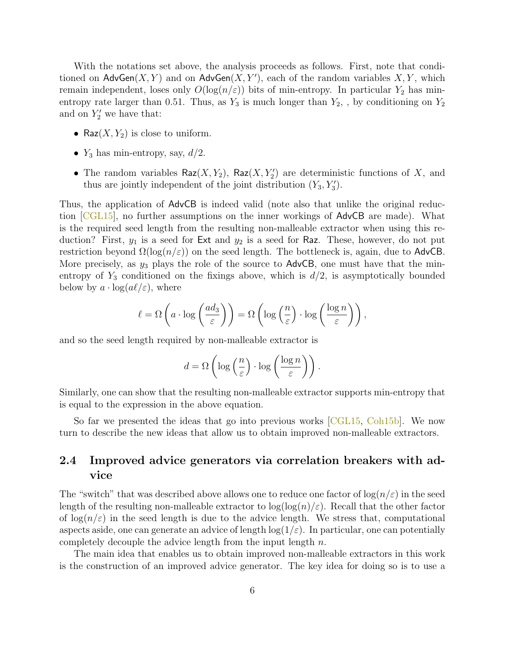With the notations set above, the analysis proceeds as follows. First, note that conditioned on  $\mathsf{AdvGen}(X, Y)$  and on  $\mathsf{AdvGen}(X, Y')$ , each of the random variables  $X, Y$ , which remain independent, loses only  $O(\log(n/\varepsilon))$  bits of min-entropy. In particular  $Y_2$  has minentropy rate larger than 0.51. Thus, as  $Y_3$  is much longer than  $Y_2$ , by conditioning on  $Y_2$ and on  $Y'_2$  we have that:

- Raz $(X, Y_2)$  is close to uniform.
- $Y_3$  has min-entropy, say,  $d/2$ .
- The random variables  $\mathsf{Raz}(X, Y_2)$ ,  $\mathsf{Raz}(X, Y_2')$  are deterministic functions of X, and thus are jointly independent of the joint distribution  $(Y_3, Y_3')$ .

Thus, the application of AdvCB is indeed valid (note also that unlike the original reduction [\[CGL15\]](#page-17-2), no further assumptions on the inner workings of AdvCB are made). What is the required seed length from the resulting non-malleable extractor when using this reduction? First,  $y_1$  is a seed for Ext and  $y_2$  is a seed for Raz. These, however, do not put restriction beyond  $\Omega(\log(n/\varepsilon))$  on the seed length. The bottleneck is, again, due to AdvCB. More precisely, as  $y_3$  plays the role of the source to  $\mathsf{AdvCB}$ , one must have that the minentropy of  $Y_3$  conditioned on the fixings above, which is  $d/2$ , is asymptotically bounded below by  $a \cdot \log(a\ell/\varepsilon)$ , where

$$
\ell = \Omega\left(a \cdot \log\left(\frac{ad_3}{\varepsilon}\right)\right) = \Omega\left(\log\left(\frac{n}{\varepsilon}\right) \cdot \log\left(\frac{\log n}{\varepsilon}\right)\right),\,
$$

and so the seed length required by non-malleable extractor is

$$
d = \Omega\left(\log\left(\frac{n}{\varepsilon}\right) \cdot \log\left(\frac{\log n}{\varepsilon}\right)\right).
$$

Similarly, one can show that the resulting non-malleable extractor supports min-entropy that is equal to the expression in the above equation.

So far we presented the ideas that go into previous works [\[CGL15,](#page-17-2) [Coh15b\]](#page-17-3). We now turn to describe the new ideas that allow us to obtain improved non-malleable extractors.

### 2.4 Improved advice generators via correlation breakers with advice

The "switch" that was described above allows one to reduce one factor of  $\log(n/\varepsilon)$  in the seed length of the resulting non-malleable extractor to  $\log(\log(n)/\varepsilon)$ . Recall that the other factor of  $\log(n/\varepsilon)$  in the seed length is due to the advice length. We stress that, computational aspects aside, one can generate an advice of length  $log(1/\varepsilon)$ . In particular, one can potentially completely decouple the advice length from the input length  $n$ .

The main idea that enables us to obtain improved non-malleable extractors in this work is the construction of an improved advice generator. The key idea for doing so is to use a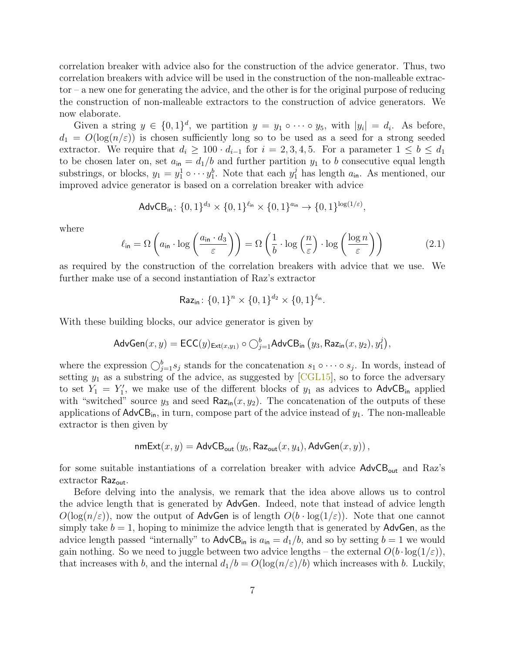correlation breaker with advice also for the construction of the advice generator. Thus, two correlation breakers with advice will be used in the construction of the non-malleable extractor – a new one for generating the advice, and the other is for the original purpose of reducing the construction of non-malleable extractors to the construction of advice generators. We now elaborate.

Given a string  $y \in \{0,1\}^d$ , we partition  $y = y_1 \circ \cdots \circ y_5$ , with  $|y_i| = d_i$ . As before,  $d_1 = O(\log(n/\varepsilon))$  is chosen sufficiently long so to be used as a seed for a strong seeded extractor. We require that  $d_i \geq 100 \cdot d_{i-1}$  for  $i = 2, 3, 4, 5$ . For a parameter  $1 \leq b \leq d_1$ to be chosen later on, set  $a_{\text{in}} = d_1/b$  and further partition  $y_1$  to b consecutive equal length substrings, or blocks,  $y_1 = y_1^1 \circ \cdots y_1^b$ . Note that each  $y_1^j$  has length  $a_{\text{in}}$ . As mentioned, our improved advice generator is based on a correlation breaker with advice

$$
\mathsf{AdvCB}_{\mathsf{in}}\colon \{0,1\}^{d_3} \times \{0,1\}^{\ell_{\mathsf{in}}} \times \{0,1\}^{a_{\mathsf{in}}} \to \{0,1\}^{\log(1/\varepsilon)},
$$

where

<span id="page-6-0"></span>
$$
\ell_{\mathsf{in}} = \Omega \left( a_{\mathsf{in}} \cdot \log \left( \frac{a_{\mathsf{in}} \cdot d_3}{\varepsilon} \right) \right) = \Omega \left( \frac{1}{b} \cdot \log \left( \frac{n}{\varepsilon} \right) \cdot \log \left( \frac{\log n}{\varepsilon} \right) \right) \tag{2.1}
$$

as required by the construction of the correlation breakers with advice that we use. We further make use of a second instantiation of Raz's extractor

Raz<sub>in</sub>: 
$$
\{0,1\}^n \times \{0,1\}^{d_2} \times \{0,1\}^{\ell_{\text{in}}}
$$
.

With these building blocks, our advice generator is given by

$$
\mathsf{AdvGen}(x, y) = \mathsf{ECC}(y)_{\mathsf{Ext}(x, y_1)} \circ \bigcirc_{j=1}^b \mathsf{AdvCB}_{\mathsf{in}}(y_3, \mathsf{Raz}_{\mathsf{in}}(x, y_2), y_1^j\big),
$$

where the expression  $\bigcirc_{j=1}^{b} s_j$  stands for the concatenation  $s_1 \circ \cdots \circ s_j$ . In words, instead of setting  $y_1$  as a substring of the advice, as suggested by [\[CGL15\]](#page-17-2), so to force the adversary to set  $Y_1 = Y_1'$ , we make use of the different blocks of  $y_1$  as advices to AdvCB<sub>in</sub> applied with "switched" source  $y_3$  and seed Raz<sub>in</sub> $(x, y_2)$ . The concatenation of the outputs of these applications of  $\mathsf{AdvCB}_{in}$ , in turn, compose part of the advice instead of  $y_1$ . The non-malleable extractor is then given by

$$
\mathsf{nmExt}(x, y) = \mathsf{AdvCB}_{\mathsf{out}}(y_5, \mathsf{Raz}_{\mathsf{out}}(x, y_4), \mathsf{AdvGen}(x, y))\,,
$$

for some suitable instantiations of a correlation breaker with advice  $AdvCB_{out}$  and Raz's extractor Raz<sub>out</sub>.

Before delving into the analysis, we remark that the idea above allows us to control the advice length that is generated by AdvGen. Indeed, note that instead of advice length  $O(\log(n/\varepsilon))$ , now the output of AdvGen is of length  $O(b \cdot \log(1/\varepsilon))$ . Note that one cannot simply take  $b = 1$ , hoping to minimize the advice length that is generated by AdvGen, as the advice length passed "internally" to  $\mathsf{AdvCB}_{\mathsf{in}}$  is  $a_{\mathsf{in}} = d_1/b$ , and so by setting  $b = 1$  we would gain nothing. So we need to juggle between two advice lengths – the external  $O(b \cdot \log(1/\varepsilon))$ , that increases with b, and the internal  $d_1/b = O(\log(n/\varepsilon)/b)$  which increases with b. Luckily,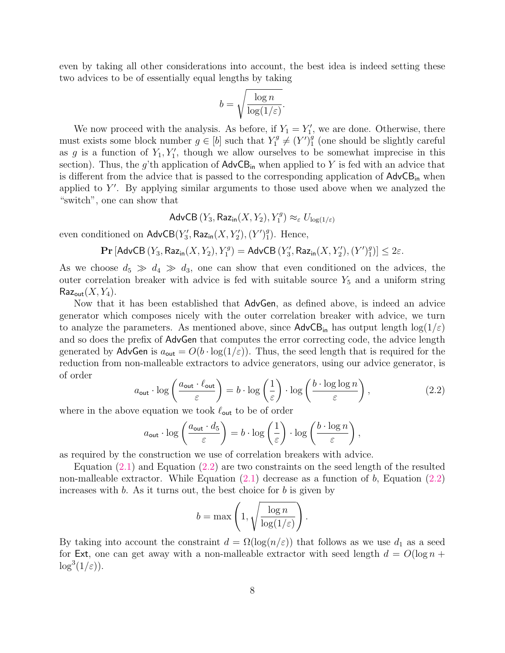even by taking all other considerations into account, the best idea is indeed setting these two advices to be of essentially equal lengths by taking

$$
b = \sqrt{\frac{\log n}{\log(1/\varepsilon)}}.
$$

We now proceed with the analysis. As before, if  $Y_1 = Y_1'$ , we are done. Otherwise, there must exists some block number  $g \in [b]$  such that  $Y_1^g \neq (Y)$ <sup>9</sup>  $_1^g$  (one should be slightly careful as g is a function of  $Y_1, Y'_1$ , though we allow ourselves to be somewhat imprecise in this section). Thus, the g'th application of  $\mathsf{AdvCB}_{\mathsf{in}}$  when applied to Y is fed with an advice that is different from the advice that is passed to the corresponding application of  $\mathsf{AdvCB}_{\mathsf{in}}$  when applied to  $Y'$ . By applying similar arguments to those used above when we analyzed the "switch", one can show that

Adv $\mathsf{CB}\left(Y_3, \mathsf{Raz}_{\mathsf{in}}(X, Y_2), Y_1^g\right) \approx_{\varepsilon} U_{\log(1/\varepsilon)}$ 

even conditioned on  $\mathsf{AdvCB}(Y_3', \mathsf{Raz}_\mathsf{in}(X, Y_2'), (Y')_1^g$  $_{1}^{g}$ ). Hence,

> $\mathbf{Pr}\left[\mathsf{AdvCB}\left(Y_3, \mathsf{Raz}_{\mathsf{in}}(X, Y_2), Y_1^g\right) = \mathsf{AdvCB}\left(Y_3', \mathsf{Raz}_{\mathsf{in}}(X, Y_2'), (Y')_1^g\right) \right]$  $_{1}^{g})]\leq 2\varepsilon.$

As we choose  $d_5 \gg d_4 \gg d_3$ , one can show that even conditioned on the advices, the outer correlation breaker with advice is fed with suitable source  $Y_5$  and a uniform string  $\mathsf{Raz}_\mathsf{out}(X, Y_4)$ .

Now that it has been established that AdvGen, as defined above, is indeed an advice generator which composes nicely with the outer correlation breaker with advice, we turn to analyze the parameters. As mentioned above, since  $\mathsf{AdvCB}_{in}$  has output length  $\log(1/\varepsilon)$ and so does the prefix of AdvGen that computes the error correcting code, the advice length generated by AdvGen is  $a_{\text{out}} = O(b \cdot \log(1/\varepsilon))$ . Thus, the seed length that is required for the reduction from non-malleable extractors to advice generators, using our advice generator, is of order

<span id="page-7-0"></span>
$$
a_{\text{out}} \cdot \log\left(\frac{a_{\text{out}} \cdot \ell_{\text{out}}}{\varepsilon}\right) = b \cdot \log\left(\frac{1}{\varepsilon}\right) \cdot \log\left(\frac{b \cdot \log\log n}{\varepsilon}\right),\tag{2.2}
$$

where in the above equation we took  $\ell_{\text{out}}$  to be of order

$$
a_{\text{out}} \cdot \log \left( \frac{a_{\text{out}} \cdot d_5}{\varepsilon} \right) = b \cdot \log \left( \frac{1}{\varepsilon} \right) \cdot \log \left( \frac{b \cdot \log n}{\varepsilon} \right),
$$

as required by the construction we use of correlation breakers with advice.

Equation [\(2.1\)](#page-6-0) and Equation [\(2.2\)](#page-7-0) are two constraints on the seed length of the resulted non-malleable extractor. While Equation  $(2.1)$  decrease as a function of b, Equation  $(2.2)$ increases with  $b$ . As it turns out, the best choice for  $b$  is given by

$$
b = \max\left(1, \sqrt{\frac{\log n}{\log(1/\varepsilon)}}\right).
$$

By taking into account the constraint  $d = \Omega(\log(n/\varepsilon))$  that follows as we use  $d_1$  as a seed for Ext, one can get away with a non-malleable extractor with seed length  $d = O(\log n +$  $\log^3(1/\varepsilon)$ ).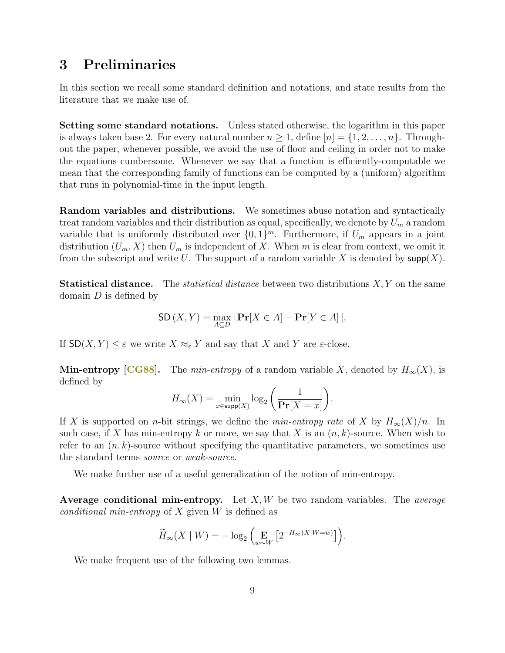## 3 Preliminaries

In this section we recall some standard definition and notations, and state results from the literature that we make use of.

Setting some standard notations. Unless stated otherwise, the logarithm in this paper is always taken base 2. For every natural number  $n \geq 1$ , define  $[n] = \{1, 2, \ldots, n\}$ . Throughout the paper, whenever possible, we avoid the use of floor and ceiling in order not to make the equations cumbersome. Whenever we say that a function is efficiently-computable we mean that the corresponding family of functions can be computed by a (uniform) algorithm that runs in polynomial-time in the input length.

Random variables and distributions. We sometimes abuse notation and syntactically treat random variables and their distribution as equal, specifically, we denote by  $U_m$  a random variable that is uniformly distributed over  $\{0,1\}^m$ . Furthermore, if  $U_m$  appears in a joint distribution  $(U_m, X)$  then  $U_m$  is independent of X. When m is clear from context, we omit it from the subscript and write U. The support of a random variable X is denoted by  $\textsf{supp}(X)$ .

**Statistical distance.** The *statistical distance* between two distributions  $X, Y$  on the same domain  $D$  is defined by

$$
SD(X, Y) = \max_{A \subseteq D} |\Pr[X \in A] - \Pr[Y \in A]|.
$$

If  $SD(X, Y) \leq \varepsilon$  we write  $X \approx_{\varepsilon} Y$  and say that X and Y are  $\varepsilon$ -close.

**Min-entropy [\[CG88\]](#page-17-5).** The *min-entropy* of a random variable X, denoted by  $H_{\infty}(X)$ , is defined by

$$
H_{\infty}(X) = \min_{x \in \text{supp}(X)} \log_2\left(\frac{1}{\Pr[X=x]}\right).
$$

If X is supported on *n*-bit strings, we define the *min-entropy rate* of X by  $H_{\infty}(X)/n$ . In such case, if X has min-entropy k or more, we say that X is an  $(n, k)$ -source. When wish to refer to an  $(n, k)$ -source without specifying the quantitative parameters, we sometimes use the standard terms source or weak-source.

We make further use of a useful generalization of the notion of min-entropy.

Average conditional min-entropy. Let  $X, W$  be two random variables. The *average* conditional min-entropy of  $X$  given  $W$  is defined as

$$
\widetilde{H}_{\infty}(X \mid W) = -\log_2\left(\mathop{\mathbf{E}}_{w \sim W}\left[2^{-H_{\infty}(X \mid W=w)}\right]\right).
$$

We make frequent use of the following two lemmas.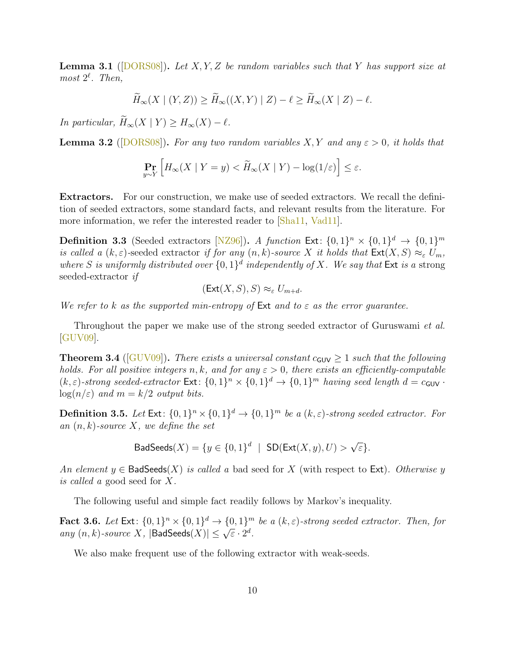<span id="page-9-2"></span>**Lemma 3.1** ([\[DORS08\]](#page--1-6)). Let X, Y, Z be random variables such that Y has support size at most  $2^{\ell}$ . Then,

$$
\widetilde{H}_{\infty}(X \mid (Y, Z)) \ge \widetilde{H}_{\infty}((X, Y) \mid Z) - \ell \ge \widetilde{H}_{\infty}(X \mid Z) - \ell.
$$

In particular,  $\widetilde{H}_{\infty}(X \mid Y) \geq H_{\infty}(X) - \ell$ .

<span id="page-9-3"></span>**Lemma 3.2** ([\[DORS08\]](#page--1-6)). For any two random variables X, Y and any  $\varepsilon > 0$ , it holds that

$$
\Pr_{y \sim Y} \left[ H_{\infty}(X \mid Y = y) < \widetilde{H}_{\infty}(X \mid Y) - \log(1/\varepsilon) \right] \le \varepsilon.
$$

Extractors. For our construction, we make use of seeded extractors. We recall the definition of seeded extractors, some standard facts, and relevant results from the literature. For more information, we refer the interested reader to [\[Sha11,](#page--1-7) [Vad11\]](#page--1-8).

**Definition 3.3** (Seeded extractors [\[NZ96\]](#page--1-9)). A function Ext:  $\{0,1\}^n \times \{0,1\}^d \rightarrow \{0,1\}^m$ is called a  $(k, \varepsilon)$ -seeded extractor if for any  $(n, k)$ -source X it holds that  $\textsf{Ext}(X, S) \approx_{\varepsilon} U_m$ , where S is uniformly distributed over  $\{0,1\}^d$  independently of X. We say that Ext is a strong seeded-extractor if

$$
(\mathsf{Ext}(X,S),S) \approx_{\varepsilon} U_{m+d}.
$$

We refer to k as the supported min-entropy of  $Ext$  and to  $\varepsilon$  as the error guarantee.

Throughout the paper we make use of the strong seeded extractor of Guruswami et al. [\[GUV09\]](#page--1-10).

<span id="page-9-0"></span>**Theorem 3.4** ( $[GUV09]$ ). There exists a universal constant  $c_{GUV} \geq 1$  such that the following holds. For all positive integers n, k, and for any  $\varepsilon > 0$ , there exists an efficiently-computable  $(k, \varepsilon)$ -strong seeded-extractor  $\textsf{Ext}: \{0,1\}^n \times \{0,1\}^d \to \{0,1\}^m$  having seed length  $d = c_{\textsf{GUV}}$ .  $log(n/\varepsilon)$  and  $m = k/2$  output bits.

**Definition 3.5.** Let  $Ext: \{0,1\}^n \times \{0,1\}^d \rightarrow \{0,1\}^m$  be a  $(k,\varepsilon)$ -strong seeded extractor. For an  $(n, k)$ -source X, we define the set

$$
\mathsf{BadSeeds}(X) = \{ y \in \{0,1\}^d \mid \mathsf{SD}(\mathsf{Ext}(X,y), U) > \sqrt{\varepsilon} \}.
$$

An element  $y \in$  BadSeeds $(X)$  is called a bad seed for X (with respect to Ext). Otherwise y is called a good seed for X.

The following useful and simple fact readily follows by Markov's inequality.

<span id="page-9-1"></span>**Fact 3.6.** Let  $Ext: \{0,1\}^n \times \{0,1\}^d \rightarrow \{0,1\}^m$  be a  $(k,\varepsilon)$ -strong seeded extractor. Then, for **Fact 3.0.** Let  $ext: \{0, 1\} \times \{0, 1\} \rightarrow \{0, 1\}$ <br>any  $(n, k)$ -source X,  $|\text{BadSeeds}(X)| \leq \sqrt{\varepsilon} \cdot 2^d$ .

We also make frequent use of the following extractor with weak-seeds.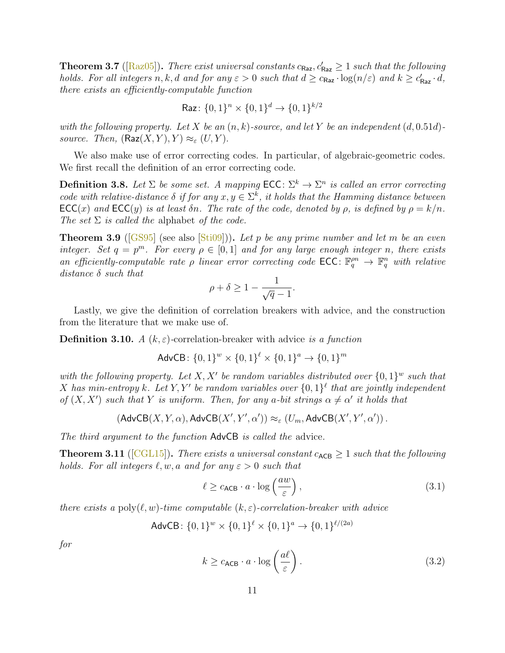<span id="page-10-1"></span>**Theorem 3.7** ([\[Raz05\]](#page--1-5)). There exist universal constants  $c_{\text{Raz}}, c'_{\text{Raz}} \geq 1$  such that the following holds. For all integers  $n, k, d$  and for any  $\varepsilon > 0$  such that  $d \geq c_{\text{Raz}} \cdot \log(n/\varepsilon)$  and  $k \geq c'_{\text{Raz}} \cdot d$ , there exists an efficiently-computable function

$$
\mathsf{Raz} \colon \{0,1\}^n \times \{0,1\}^d \to \{0,1\}^{k/2}
$$

with the following property. Let X be an  $(n, k)$ -source, and let Y be an independent  $(d, 0.51d)$ source. Then,  $(\text{Raz}(X, Y), Y) \approx_{\varepsilon} (U, Y)$ .

We also make use of error correcting codes. In particular, of algebraic-geometric codes. We first recall the definition of an error correcting code.

**Definition 3.8.** Let  $\Sigma$  be some set. A mapping  $\mathsf{ECC} \colon \Sigma^k \to \Sigma^n$  is called an error correcting code with relative-distance  $\delta$  if for any  $x, y \in \Sigma^k$ , it holds that the Hamming distance between  $\mathsf{ECC}(x)$  and  $\mathsf{ECC}(y)$  is at least  $\delta n$ . The rate of the code, denoted by  $\rho$ , is defined by  $\rho = k/n$ . The set  $\Sigma$  is called the alphabet of the code.

<span id="page-10-2"></span>**Theorem 3.9** ([\[GS95\]](#page--1-11) (see also [\[Sti09\]](#page--1-12))). Let p be any prime number and let m be an even integer. Set  $q = p^m$ . For every  $\rho \in [0,1]$  and for any large enough integer n, there exists an efficiently-computable rate  $\rho$  linear error correcting code ECC:  $\mathbb{F}_q^{pn} \to \mathbb{F}_q^n$  with relative distance  $\delta$  such that

$$
\rho+\delta\geq 1-\frac{1}{\sqrt{q}-1}.
$$

Lastly, we give the definition of correlation breakers with advice, and the construction from the literature that we make use of.

**Definition 3.10.** A  $(k, \varepsilon)$ -correlation-breaker with advice is a function

$$
AdvCB: \{0, 1\}^{w} \times \{0, 1\}^{\ell} \times \{0, 1\}^{a} \rightarrow \{0, 1\}^{m}
$$

with the following property. Let X, X' be random variables distributed over  $\{0,1\}^w$  such that X has min-entropy k. Let Y, Y' be random variables over  $\{0,1\}^{\ell}$  that are jointly independent of  $(X, X')$  such that Y is uniform. Then, for any a-bit strings  $\alpha \neq \alpha'$  it holds that

$$
\left(\mathsf{AdvCB}(X,Y,\alpha),\mathsf{AdvCB}(X',Y',\alpha')\right) \approx_\varepsilon \left(U_m,\mathsf{AdvCB}(X',Y',\alpha')\right).
$$

The third argument to the function AdvCB is called the advice.

<span id="page-10-0"></span>**Theorem 3.11** ([\[CGL15\]](#page-17-2)). There exists a universal constant  $c_{ACB} \ge 1$  such that the following holds. For all integers  $\ell, w, a$  and for any  $\varepsilon > 0$  such that

<span id="page-10-3"></span>
$$
\ell \ge c_{\text{ACB}} \cdot a \cdot \log\left(\frac{aw}{\varepsilon}\right),\tag{3.1}
$$

there exists a poly $(\ell, w)$ -time computable  $(k, \varepsilon)$ -correlation-breaker with advice

$$
AdvCB: \{0,1\}^{w} \times \{0,1\}^{\ell} \times \{0,1\}^{a} \rightarrow \{0,1\}^{\ell/(2a)}
$$

for

<span id="page-10-4"></span>
$$
k \ge c_{\text{ACB}} \cdot a \cdot \log\left(\frac{a\ell}{\varepsilon}\right). \tag{3.2}
$$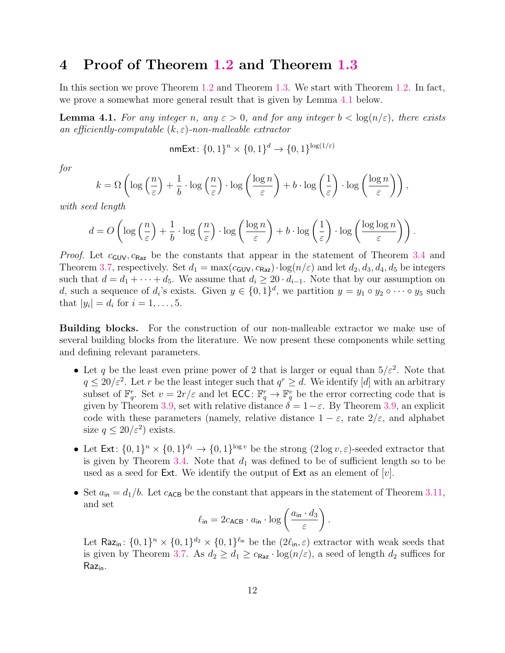## 4 Proof of Theorem [1.2](#page-1-0) and Theorem [1.3](#page-1-1)

In this section we prove Theorem [1.2](#page-1-0) and Theorem [1.3.](#page-1-1) We start with Theorem [1.2.](#page-1-0) In fact, we prove a somewhat more general result that is given by Lemma [4.1](#page-11-0) below.

<span id="page-11-0"></span>**Lemma 4.1.** For any integer n, any  $\varepsilon > 0$ , and for any integer  $b < log(n/\varepsilon)$ , there exists an efficiently-computable  $(k, \varepsilon)$ -non-malleable extractor

nmExt: 
$$
\{0,1\}^n \times \{0,1\}^d \rightarrow \{0,1\}^{\log(1/\varepsilon)}
$$

for

$$
k = \Omega\left(\log\left(\frac{n}{\varepsilon}\right) + \frac{1}{b} \cdot \log\left(\frac{n}{\varepsilon}\right) \cdot \log\left(\frac{\log n}{\varepsilon}\right) + b \cdot \log\left(\frac{1}{\varepsilon}\right) \cdot \log\left(\frac{\log n}{\varepsilon}\right)\right),
$$

with seed length

$$
d = O\left(\log\left(\frac{n}{\varepsilon}\right) + \frac{1}{b} \cdot \log\left(\frac{n}{\varepsilon}\right) \cdot \log\left(\frac{\log n}{\varepsilon}\right) + b \cdot \log\left(\frac{1}{\varepsilon}\right) \cdot \log\left(\frac{\log\log n}{\varepsilon}\right)\right).
$$

*Proof.* Let  $c_{\text{GUV}}, c_{\text{Raz}}$  be the constants that appear in the statement of Theorem [3.4](#page-9-0) and Theorem [3.7,](#page-10-1) respectively. Set  $d_1 = \max(c_{\text{GUV}}, c_{\text{Raz}}) \cdot \log(n/\varepsilon)$  and let  $d_2, d_3, d_4, d_5$  be integers such that  $d = d_1 + \cdots + d_5$ . We assume that  $d_i \geq 20 \cdot d_{i-1}$ . Note that by our assumption on d, such a sequence of  $d_i$ 's exists. Given  $y \in \{0,1\}^d$ , we partition  $y = y_1 \circ y_2 \circ \cdots \circ y_5$  such that  $|y_i| = d_i$  for  $i = 1, ..., 5$ .

Building blocks. For the construction of our non-malleable extractor we make use of several building blocks from the literature. We now present these components while setting and defining relevant parameters.

- Let q be the least even prime power of 2 that is larger or equal than  $5/\varepsilon^2$ . Note that  $q \leq 20/\varepsilon^2$ . Let r be the least integer such that  $q^r \geq d$ . We identify [d] with an arbitrary subset of  $\mathbb{F}_q^r$ . Set  $v = 2r/\varepsilon$  and let  $\mathsf{ECC} \colon \mathbb{F}_q^r \to \mathbb{F}_q^v$  be the error correcting code that is given by Theorem [3.9,](#page-10-2) set with relative distance  $\delta = 1 - \varepsilon$ . By Theorem 3.9, an explicit code with these parameters (namely, relative distance  $1 - \varepsilon$ , rate  $2/\varepsilon$ , and alphabet size  $q \leq 20/\varepsilon^2$  exists.
- Let  $Ext: \{0,1\}^n \times \{0,1\}^{d_1} \to \{0,1\}^{\log v}$  be the strong  $(2 \log v, \varepsilon)$ -seeded extractor that is given by Theorem [3.4.](#page-9-0) Note that  $d_1$  was defined to be of sufficient length so to be used as a seed for Ext. We identify the output of Ext as an element of  $[v]$ .
- Set  $a_{\rm in} = d_1/b$ . Let  $c_{\rm ACB}$  be the constant that appears in the statement of Theorem [3.11,](#page-10-0) and set

$$
\ell_{\mathsf{in}} = 2c_{\mathsf{ACB}} \cdot a_{\mathsf{in}} \cdot \log \left( \frac{a_{\mathsf{in}} \cdot d_3}{\varepsilon} \right).
$$

Let Raz<sub>in</sub>:  $\{0,1\}^n \times \{0,1\}^{d_2} \times \{0,1\}^{\ell_{\text{in}}}$  be the  $(2\ell_{\text{in}}, \varepsilon)$  extractor with weak seeds that is given by Theorem [3.7.](#page-10-1) As  $d_2 \geq d_1 \geq c_{\text{Raz}} \cdot \log(n/\varepsilon)$ , a seed of length  $d_2$  suffices for  $Raz_{in}$ .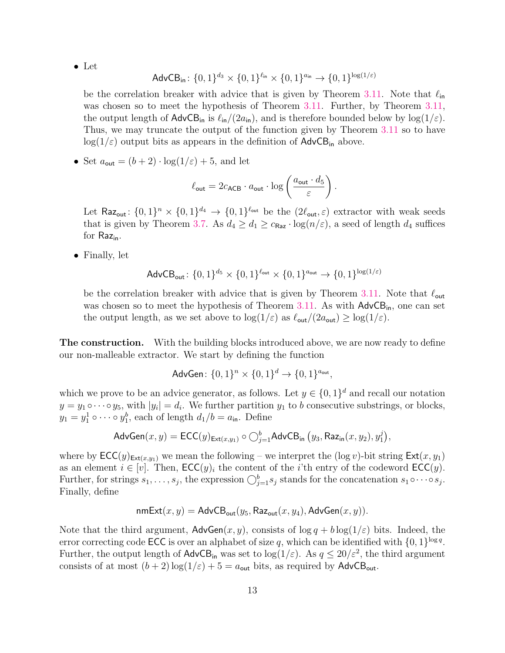• Let

$$
\mathsf{AdvCB}_{\mathsf{in}}\colon \{0,1\}^{d_3} \times \{0,1\}^{\ell_{\mathsf{in}}} \times \{0,1\}^{a_{\mathsf{in}}} \to \{0,1\}^{\log(1/\varepsilon)}
$$

be the correlation breaker with advice that is given by Theorem [3.11.](#page-10-0) Note that  $\ell_{\text{in}}$ was chosen so to meet the hypothesis of Theorem [3.11.](#page-10-0) Further, by Theorem [3.11,](#page-10-0) the output length of  $\mathsf{AdvCB}_{in}$  is  $\ell_{in}/(2a_{in})$ , and is therefore bounded below by log(1/ $\varepsilon$ ). Thus, we may truncate the output of the function given by Theorem [3.11](#page-10-0) so to have  $log(1/\epsilon)$  output bits as appears in the definition of  $AdvCB<sub>in</sub>$  above.

• Set  $a_{\text{out}} = (b+2) \cdot \log(1/\varepsilon) + 5$ , and let

$$
\ell_{\text{out}} = 2c_{\text{ACB}} \cdot a_{\text{out}} \cdot \log \left( \frac{a_{\text{out}} \cdot d_5}{\varepsilon} \right).
$$

Let Raz<sub>out</sub>:  $\{0,1\}^n \times \{0,1\}^{d_4} \to \{0,1\}^{\ell_{\text{out}}}$  be the  $(2\ell_{\text{out}}, \varepsilon)$  extractor with weak seeds that is given by Theorem [3.7.](#page-10-1) As  $d_4 \geq d_1 \geq c_{\text{Raz}} \cdot \log(n/\varepsilon)$ , a seed of length  $d_4$  suffices for  $Raz_{in}$ .

• Finally, let

$$
\mathsf{AdvCB}_{\mathsf{out}}\colon \{0,1\}^{d_5} \times \{0,1\}^{\ell_{\mathsf{out}}} \times \{0,1\}^{a_{\mathsf{out}}} \rightarrow \{0,1\}^{\log(1/\varepsilon)}
$$

be the correlation breaker with advice that is given by Theorem [3.11.](#page-10-0) Note that  $\ell_{\text{out}}$ was chosen so to meet the hypothesis of Theorem [3.11.](#page-10-0) As with  $AdvCB<sub>in</sub>$ , one can set the output length, as we set above to  $\log(1/\varepsilon)$  as  $\ell_{\text{out}}/(2a_{\text{out}}) \ge \log(1/\varepsilon)$ .

**The construction.** With the building blocks introduced above, we are now ready to define our non-malleable extractor. We start by defining the function

$$
AdvGen: \{0, 1\}^n \times \{0, 1\}^d \to \{0, 1\}^{a_{out}},
$$

which we prove to be an advice generator, as follows. Let  $y \in \{0,1\}^d$  and recall our notation  $y = y_1 \circ \cdots \circ y_5$ , with  $|y_i| = d_i$ . We further partition  $y_1$  to b consecutive substrings, or blocks,  $y_1 = y_1^1 \circ \cdots \circ y_1^b$ , each of length  $d_1/b = a_{\text{in}}$ . Define

$$
\mathsf{AdvGen}(x,y) = \mathsf{ECC}(y)_{\mathsf{Ext}(x,y_1)} \circ \bigcirc_{j=1}^b \mathsf{AdvCB}_{\mathsf{in}}\left(y_3, \mathsf{Raz}_{\mathsf{in}}(x,y_2), y_1^j\right),
$$

where by  $\mathsf{ECC}(y)_{\mathsf{Ext}(x,y_1)}$  we mean the following – we interpret the (log v)-bit string  $\mathsf{Ext}(x, y_1)$ as an element  $i \in [v]$ . Then,  $\mathsf{ECC}(y)_i$  the content of the *i*'th entry of the codeword  $\mathsf{ECC}(y)$ . Further, for strings  $s_1, \ldots, s_j$ , the expression  $\bigcirc_{j=1}^b s_j$  stands for the concatenation  $s_1 \circ \cdots \circ s_j$ . Finally, define

$$
\mathsf{nmExt}(x,y) = \mathsf{AdvCB}_{\mathsf{out}}(y_5, \mathsf{Raz}_{\mathsf{out}}(x,y_4), \mathsf{AdvGen}(x,y)).
$$

Note that the third argument,  $\mathsf{AdvGen}(x, y)$ , consists of  $\log q + b \log(1/\varepsilon)$  bits. Indeed, the error correcting code **ECC** is over an alphabet of size q, which can be identified with  $\{0, 1\}^{\log q}$ . Further, the output length of  $\mathsf{AdvCB}_{\mathsf{in}}$  was set to  $\log(1/\varepsilon)$ . As  $q \leq 20/\varepsilon^2$ , the third argument consists of at most  $(b+2) \log(1/\varepsilon) + 5 = a_{\text{out}}$  bits, as required by AdvCB<sub>out</sub>.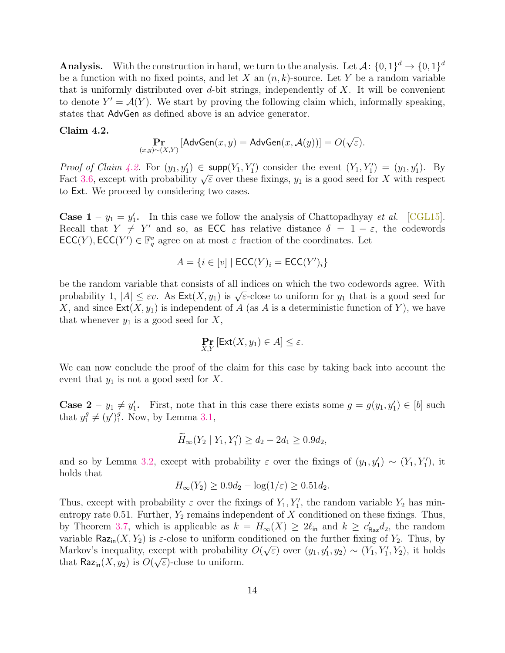**Analysis.** With the construction in hand, we turn to the analysis. Let  $\mathcal{A}$ :  $\{0,1\}^d \rightarrow \{0,1\}^d$ be a function with no fixed points, and let X an  $(n, k)$ -source. Let Y be a random variable that is uniformly distributed over  $d$ -bit strings, independently of  $X$ . It will be convenient to denote  $Y' = \mathcal{A}(Y)$ . We start by proving the following claim which, informally speaking, states that AdvGen as defined above is an advice generator.

#### <span id="page-13-0"></span>Claim 4.2.

$$
\Pr_{(x,y)\sim(X,Y)}\left[\mathsf{AdvGen}(x,y)=\mathsf{AdvGen}(x,\mathcal{A}(y))\right]=O(\sqrt{\varepsilon}).
$$

*Proof of Claim [4.2.](#page-13-0)* For  $(y_1, y_1') \in \text{supp}(Y_1, Y_1')$  consider the event  $(Y_1, Y_1') = (y_1, y_1')$ . By Froot by Claim 4.2. For  $(y_1, y_1) \in \text{supp}(T_1, T_1)$  consider the event  $(T_1, T_1) = (y_1, y_1)$ . By<br>Fact [3.6,](#page-9-1) except with probability  $\sqrt{\varepsilon}$  over these fixings,  $y_1$  is a good seed for X with respect to Ext. We proceed by considering two cases.

**Case 1** –  $y_1 = y'_1$ . In this case we follow the analysis of Chattopadhyay *et al.* [\[CGL15\]](#page-17-2). Recall that  $Y \neq Y'$  and so, as ECC has relative distance  $\delta = 1 - \varepsilon$ , the codewords  $\mathsf{ECC}(Y), \mathsf{ECC}(Y') \in \mathbb{F}_q^v$  agree on at most  $\varepsilon$  fraction of the coordinates. Let

$$
A = \{ i \in [v] \mid \mathsf{ECC}(Y)_i = \mathsf{ECC}(Y')_i \}
$$

be the random variable that consists of all indices on which the two codewords agree. With be the random variable that consists of an indices on which the two codewords agree. With<br>probability 1,  $|A| \leq \varepsilon v$ . As  $\text{Ext}(X, y_1)$  is  $\sqrt{\varepsilon}$ -close to uniform for  $y_1$  that is a good seed for X, and since  $\textsf{Ext}(X, y_1)$  is independent of A (as A is a deterministic function of Y), we have that whenever  $y_1$  is a good seed for  $X$ ,

$$
\Pr_{X,Y} \left[ \mathsf{Ext}(X,y_1) \in A \right] \leq \varepsilon.
$$

We can now conclude the proof of the claim for this case by taking back into account the event that  $y_1$  is not a good seed for X.

**Case 2** –  $y_1 \neq y'_1$ . First, note that in this case there exists some  $g = g(y_1, y'_1) \in [b]$  such that  $y_1^g \neq (y')_1^g$  $_1^g$ . Now, by Lemma [3.1,](#page-9-2)

$$
\widetilde{H}_{\infty}(Y_2 \mid Y_1, Y_1') \ge d_2 - 2d_1 \ge 0.9d_2,
$$

and so by Lemma [3.2,](#page-9-3) except with probability  $\varepsilon$  over the fixings of  $(y_1, y_1') \sim (Y_1, Y_1')$ , it holds that

$$
H_{\infty}(Y_2) \ge 0.9d_2 - \log(1/\varepsilon) \ge 0.51d_2.
$$

Thus, except with probability  $\varepsilon$  over the fixings of  $Y_1, Y'_1$ , the random variable  $Y_2$  has minentropy rate 0.51. Further,  $Y_2$  remains independent of X conditioned on these fixings. Thus, by Theorem [3.7,](#page-10-1) which is applicable as  $k = H_{\infty}(X) \geq 2\ell_{\text{in}}$  and  $k \geq c'_{\text{Raz}}d_2$ , the random variable Raz<sub>in</sub> $(X, Y_2)$  is  $\varepsilon$ -close to uniform conditioned on the further fixing of  $Y_2$ . Thus, by Markov's inequality, except with probability  $O(\sqrt{\varepsilon})$  over  $(y_1, y_1', y_2) \sim (Y_1, Y_1', Y_2)$ , it holds that  $\mathsf{Raz}_{\mathsf{in}}(X, y_2)$  is  $O(\sqrt{\varepsilon})$ -close to uniform.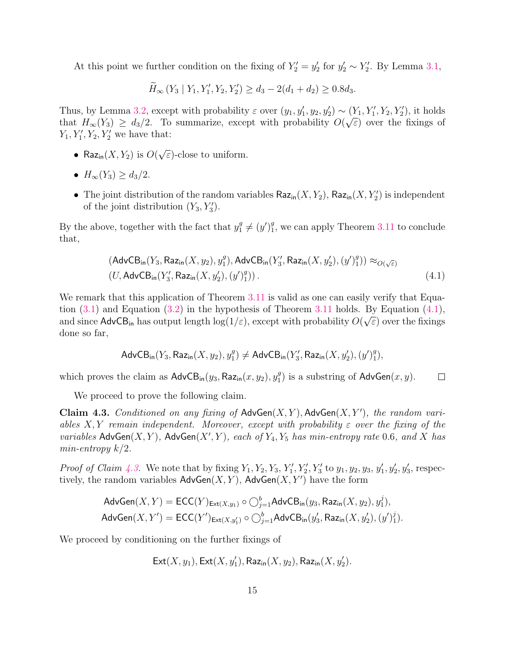At this point we further condition on the fixing of  $Y_2' = y_2'$  for  $y_2' \sim Y_2'$ . By Lemma [3.1,](#page-9-2)

$$
\widetilde{H}_{\infty}(Y_3 | Y_1, Y_1', Y_2, Y_2') \ge d_3 - 2(d_1 + d_2) \ge 0.8d_3.
$$

Thus, by Lemma [3.2,](#page-9-3) except with probability  $\varepsilon$  over  $(y_1, y_1', y_2, y_2') \sim (Y_1, Y_1', Y_2, Y_2')$ , it holds that  $H_{\infty}(Y_3) \geq d_3/2$ . To summarize, except with probability  $O(\sqrt{\varepsilon})$  over the fixings of  $Y_1, Y_1', Y_2, Y_2'$  we have that:

- Raz<sub>in</sub> $(X, Y_2)$  is  $O($ √  $\overline{\varepsilon}$ )-close to uniform.
- $H_{\infty}(Y_3) \ge d_3/2$ .
- The joint distribution of the random variables  $\textsf{Raz}_{\textsf{in}}(X, Y_2)$ ,  $\textsf{Raz}_{\textsf{in}}(X, Y_2')$  is independent of the joint distribution  $(Y_3, Y_3')$ .

By the above, together with the fact that  $y_1^g \neq (y')_1^g$  $_1^g$ , we can apply Theorem [3.11](#page-10-0) to conclude that,

$$
(\mathsf{AdvCB}_{\mathsf{in}}(Y_3, \mathsf{Raz}_{\mathsf{in}}(X, y_2), y_1^g), \mathsf{AdvCB}_{\mathsf{in}}(Y_3', \mathsf{Raz}_{\mathsf{in}}(X, y_2'), (y')_1^g)) \approx_{O(\sqrt{\varepsilon})} (U, \mathsf{AdvCB}_{\mathsf{in}}(Y_3', \mathsf{Raz}_{\mathsf{in}}(X, y_2'), (y')_1^g)).
$$
\n
$$
(4.1)
$$

We remark that this application of Theorem [3.11](#page-10-0) is valid as one can easily verify that Equation  $(3.1)$  and Equation  $(3.2)$  in the hypothesis of Theorem [3.11](#page-10-0) holds. By Equation  $(4.1)$ , and since  $\sf{AdvCB}_{in}$  has output length  $\log(1/\varepsilon)$ , except with probability  $O(\sqrt{\varepsilon})$  over the fixings done so far,

<span id="page-14-0"></span>
$$
\mathsf{AdvCB}_{\mathsf{in}}(Y_3, \mathsf{Raz}_{\mathsf{in}}(X, y_2), y_1^g) \ne \mathsf{AdvCB}_{\mathsf{in}}(Y_3', \mathsf{Raz}_{\mathsf{in}}(X, y_2'), (y')_1^g),
$$

which proves the claim as  $\mathsf{AdvCB}_{\mathsf{in}}(y_3, \mathsf{Raz}_{\mathsf{in}}(x, y_2), y_1^g)$  $_1^g$ ) is a substring of  $\mathsf{AdvGen}(x, y)$ .  $\Box$ 

We proceed to prove the following claim.

<span id="page-14-1"></span>Claim 4.3. Conditioned on any fixing of  $\mathsf{AdvGen}(X, Y)$ ,  $\mathsf{AdvGen}(X, Y')$ , the random variables X, Y remain independent. Moreover, except with probability  $\varepsilon$  over the fixing of the variables  $\mathsf{AdvGen}(X, Y)$ ,  $\mathsf{AdvGen}(X', Y)$ , each of  $Y_4, Y_5$  has min-entropy rate 0.6, and X has min-entropy  $k/2$ .

*Proof of Claim [4.3.](#page-14-1)* We note that by fixing  $Y_1, Y_2, Y_3, Y'_1, Y'_2, Y'_3$  to  $y_1, y_2, y_3, y'_1, y'_2, y'_3$ , respectively, the random variables  $\mathsf{AdvGen}(X, Y)$ ,  $\mathsf{AdvGen}(X, Y')$  have the form

$$
\mathsf{AdvGen}(X, Y) = \mathsf{ECC}(Y)_{\mathsf{Ext}(X, y_1)} \circ \bigcirc_{j=1}^b \mathsf{AdvCB}_{\mathsf{in}}(y_3, \mathsf{Raz}_{\mathsf{in}}(X, y_2), y_1^j),
$$
  

$$
\mathsf{AdvGen}(X, Y') = \mathsf{ECC}(Y')_{\mathsf{Ext}(X, y_1')} \circ \bigcirc_{j=1}^b \mathsf{AdvCB}_{\mathsf{in}}(y_3', \mathsf{Raz}_{\mathsf{in}}(X, y_2'), (y')_1^j).
$$

We proceed by conditioning on the further fixings of

$$
\mathsf{Ext}(X,y_1), \mathsf{Ext}(X,y_1'), \mathsf{Raz}_{\mathsf{in}}(X,y_2), \mathsf{Raz}_{\mathsf{in}}(X,y_2').
$$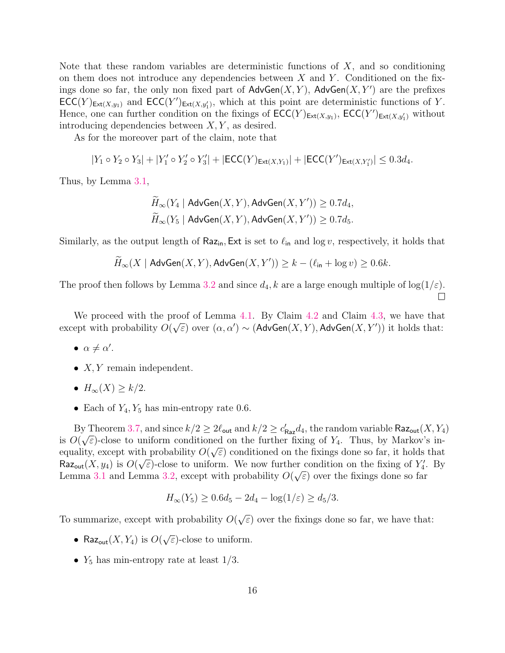Note that these random variables are deterministic functions of  $X$ , and so conditioning on them does not introduce any dependencies between  $X$  and  $Y$ . Conditioned on the fixings done so far, the only non fixed part of  $\mathsf{AdvGen}(X, Y)$ ,  $\mathsf{AdvGen}(X, Y')$  are the prefixes  $\mathsf{ECC}(Y)_{\mathsf{Ext}(X,y_1)}$  and  $\mathsf{ECC}(Y')_{\mathsf{Ext}(X,y'_1)}$ , which at this point are deterministic functions of Y. Hence, one can further condition on the fixings of  $\mathsf{ECC}(Y)_{\mathsf{Ext}(X,y_1)}$ ,  $\mathsf{ECC}(Y')_{\mathsf{Ext}(X,y_1')}$  without introducing dependencies between  $X, Y$ , as desired.

As for the moreover part of the claim, note that

$$
|Y_1 \circ Y_2 \circ Y_3| + |Y'_1 \circ Y'_2 \circ Y'_3| + |\mathsf{ECC}(Y)_{\mathsf{Ext}(X,Y_1)}| + |\mathsf{ECC}(Y')_{\mathsf{Ext}(X,Y'_1)}| \leq 0.3 d_4.
$$

Thus, by Lemma [3.1,](#page-9-2)

$$
\widetilde{H}_{\infty}(Y_4 \mid \mathsf{AdvGen}(X, Y), \mathsf{AdvGen}(X, Y')) \ge 0.7d_4,
$$
\n
$$
\widetilde{H}_{\infty}(Y_5 \mid \mathsf{AdvGen}(X, Y), \mathsf{AdvGen}(X, Y')) \ge 0.7d_5.
$$

Similarly, as the output length of Raz<sub>in</sub>, Ext is set to  $\ell_{\rm in}$  and log v, respectively, it holds that

$$
\widetilde{H}_{\infty}(X \mid \mathsf{AdvGen}(X, Y), \mathsf{AdvGen}(X, Y')) \geq k - (\ell_{\mathsf{in}} + \log v) \geq 0.6k.
$$

The proof then follows by Lemma [3.2](#page-9-3) and since  $d_4$ , k are a large enough multiple of  $log(1/\varepsilon)$ .  $\Box$ 

We proceed with the proof of Lemma [4.1.](#page-11-0) By Claim [4.2](#page-13-0) and Claim [4.3,](#page-14-1) we have that except with probability  $O(\sqrt{\varepsilon})$  over  $(\alpha, \alpha') \sim ($ AdvGen $(X, Y)$ , AdvGen $(X, Y')$ ) it holds that:

- $\alpha \neq \alpha'$ .
- $X, Y$  remain independent.
- $H_{\infty}(X) \geq k/2$ .
- Each of  $Y_4, Y_5$  has min-entropy rate 0.6.

By Theorem [3.7,](#page-10-1) and since  $k/2 \ge 2\ell_{\text{out}}$  and  $k/2 \ge c'_{\text{Raz}}d_4$ , the random variable  $\text{Raz}_{\text{out}}(X, Y_4)$ is  $O(\sqrt{\varepsilon})$ -close to uniform conditioned on the further fixing of  $Y_4$ . Thus, by Markov's inequality, except with probability  $O(\sqrt{\varepsilon})$  conditioned on the fixings done so far, it holds that Raz<sub>out</sub> $(X, y_4)$  is  $O(\sqrt{\varepsilon})$ -close to uniform. We now further condition on the fixing of  $Y'_4$ . By Lemma [3.1](#page-9-2) and Lemma [3.2,](#page-9-3) except with probability  $O(\sqrt{\varepsilon})$  over the fixings done so far

$$
H_{\infty}(Y_5) \ge 0.6d_5 - 2d_4 - \log(1/\varepsilon) \ge d_5/3.
$$

To summarize, except with probability O( √  $\epsilon$ ) over the fixings done so far, we have that:

- Raz<sub>out</sub> $(X, Y_4)$  is  $O($ √  $\epsilon$ )-close to uniform.
- $Y_5$  has min-entropy rate at least  $1/3$ .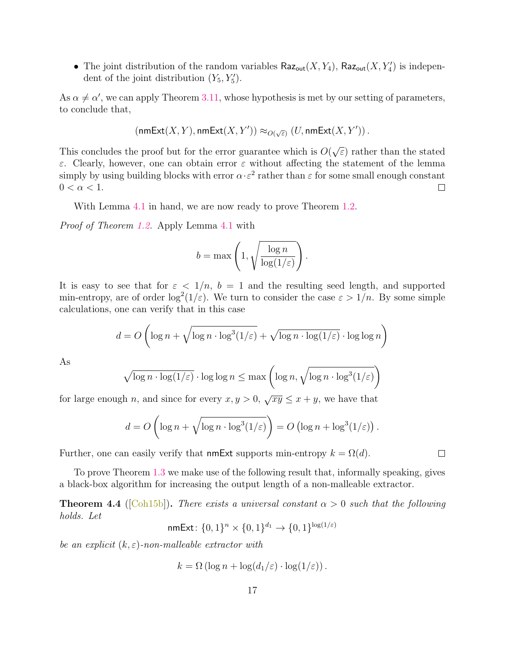• The joint distribution of the random variables  $\textsf{Raz}_{\textsf{out}}(X, Y_4)$ ,  $\textsf{Raz}_{\textsf{out}}(X, Y'_4)$  is independent of the joint distribution  $(Y_5, Y_5')$ .

As  $\alpha \neq \alpha'$ , we can apply Theorem [3.11,](#page-10-0) whose hypothesis is met by our setting of parameters, to conclude that,

$$
(\mathsf{nmExt}(X,Y), \mathsf{nmExt}(X,Y')) \approx_{O(\sqrt{\varepsilon})} (U, \mathsf{nmExt}(X,Y'))\,.
$$

√ This concludes the proof but for the error guarantee which is  $O($  $\epsilon$ ) rather than the stated ε. Clearly, however, one can obtain error ε without affecting the statement of the lemma simply by using building blocks with error  $\alpha \cdot \varepsilon^2$  rather than  $\varepsilon$  for some small enough constant  $0 < \alpha < 1$ .  $\Box$ 

With Lemma [4.1](#page-11-0) in hand, we are now ready to prove Theorem [1.2.](#page-1-0)

Proof of Theorem [1.2.](#page-1-0) Apply Lemma [4.1](#page-11-0) with

$$
b = \max\left(1, \sqrt{\frac{\log n}{\log(1/\varepsilon)}}\right).
$$

It is easy to see that for  $\varepsilon < 1/n$ ,  $b = 1$  and the resulting seed length, and supported min-entropy, are of order  $\log^2(1/\varepsilon)$ . We turn to consider the case  $\varepsilon > 1/n$ . By some simple calculations, one can verify that in this case

$$
d = O\left(\log n + \sqrt{\log n \cdot \log^{3}(1/\varepsilon)} + \sqrt{\log n \cdot \log(1/\varepsilon)} \cdot \log \log n\right)
$$

As

$$
\sqrt{\log n \cdot \log(1/\varepsilon)} \cdot \log \log n \le \max \left( \log n, \sqrt{\log n \cdot \log^3(1/\varepsilon)} \right)
$$

for large enough n, and since for every  $x, y > 0$ ,  $\sqrt{xy} \le x + y$ , we have that

$$
d = O\left(\log n + \sqrt{\log n \cdot \log^3(1/\varepsilon)}\right) = O\left(\log n + \log^3(1/\varepsilon)\right).
$$

Further, one can easily verify that nmExt supports min-entropy  $k = \Omega(d)$ .

To prove Theorem [1.3](#page-1-1) we make use of the following result that, informally speaking, gives a black-box algorithm for increasing the output length of a non-malleable extractor.

<span id="page-16-0"></span>**Theorem 4.4** ([\[Coh15b\]](#page-17-3)). There exists a universal constant  $\alpha > 0$  such that the following holds. Let

 ${\sf nmExt}\colon \{0,1\}^n \times \{0,1\}^{d_1} \to \{0,1\}^{\log(1/\varepsilon)}$ 

be an explicit  $(k, \varepsilon)$ -non-malleable extractor with

$$
k = \Omega\left(\log n + \log\left(\frac{d_1}{\varepsilon}\right) \cdot \log(1/\varepsilon)\right).
$$

 $\Box$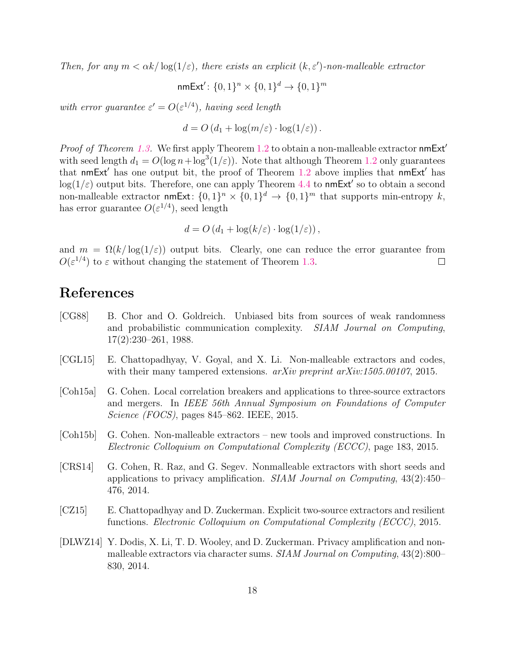Then, for any  $m < \alpha k / \log(1/\varepsilon)$ , there exists an explicit  $(k, \varepsilon')$ -non-malleable extractor

nmExt': 
$$
\{0,1\}^n \times \{0,1\}^d \rightarrow \{0,1\}^m
$$

with error guarantee  $\varepsilon' = O(\varepsilon^{1/4})$ , having seed length

$$
d = O\left(d_1 + \log(m/\varepsilon) \cdot \log(1/\varepsilon)\right).
$$

*Proof of Theorem [1.3.](#page-1-1)* We first apply Theorem [1.2](#page-1-0) to obtain a non-malleable extractor  $n$ mExt' with seed length  $d_1 = O(\log n + \log^3(1/\varepsilon))$ . Note that although Theorem [1.2](#page-1-0) only guarantees that nmExt' has one output bit, the proof of Theorem [1.2](#page-1-0) above implies that nmExt' has  $log(1/\varepsilon)$  output bits. Therefore, one can apply Theorem [4.4](#page-16-0) to nmExt' so to obtain a second non-malleable extractor  $\mathsf{nmExt} \colon \{0,1\}^n \times \{0,1\}^d \to \{0,1\}^m$  that supports min-entropy k, has error guarantee  $O(\varepsilon^{1/4})$ , seed length

$$
d = O\left(d_1 + \log(k/\varepsilon) \cdot \log(1/\varepsilon)\right),\,
$$

and  $m = \Omega(k/\log(1/\varepsilon))$  output bits. Clearly, one can reduce the error guarantee from  $O(\varepsilon^{1/4})$  to  $\varepsilon$  without changing the statement of Theorem [1.3.](#page-1-1)  $\Box$ 

## References

- <span id="page-17-5"></span>[CG88] B. Chor and O. Goldreich. Unbiased bits from sources of weak randomness and probabilistic communication complexity. SIAM Journal on Computing, 17(2):230–261, 1988.
- <span id="page-17-2"></span>[CGL15] E. Chattopadhyay, V. Goyal, and X. Li. Non-malleable extractors and codes, with their many tampered extensions. *arXiv preprint arXiv:1505.00107*, 2015.
- <span id="page-17-4"></span>[Coh15a] G. Cohen. Local correlation breakers and applications to three-source extractors and mergers. In IEEE 56th Annual Symposium on Foundations of Computer Science (FOCS), pages 845–862. IEEE, 2015.
- <span id="page-17-3"></span>[Coh15b] G. Cohen. Non-malleable extractors – new tools and improved constructions. In Electronic Colloquium on Computational Complexity (ECCC), page 183, 2015.
- <span id="page-17-0"></span>[CRS14] G. Cohen, R. Raz, and G. Segev. Nonmalleable extractors with short seeds and applications to privacy amplification. *SIAM Journal on Computing*,  $43(2):450-$ 476, 2014.
- [CZ15] E. Chattopadhyay and D. Zuckerman. Explicit two-source extractors and resilient functions. Electronic Colloquium on Computational Complexity (ECCC), 2015.
- <span id="page-17-1"></span>[DLWZ14] Y. Dodis, X. Li, T. D. Wooley, and D. Zuckerman. Privacy amplification and nonmalleable extractors via character sums. SIAM Journal on Computing, 43(2):800– 830, 2014.